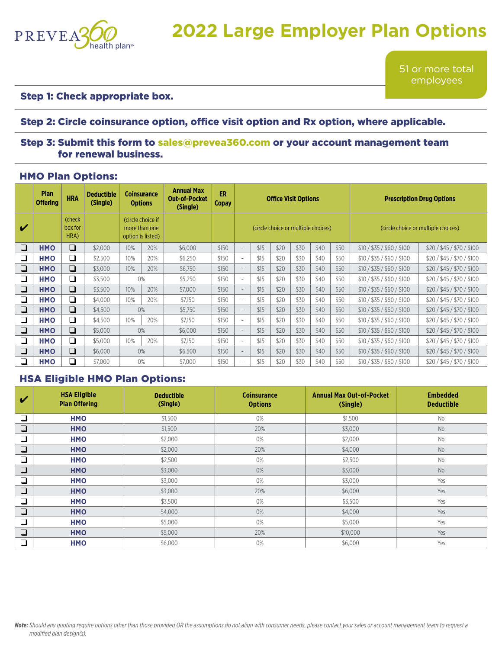

# **2022 Large Employer Plan Options**

51 or more total employees

#### Step 1: Check appropriate box.

#### Step 2: Circle coinsurance option, office visit option and Rx option, where applicable.

#### Step 3: Submit this form to [sales@prevea360.com](mailto:sales@prevea360.com) or your account management team for renewal business.

#### HMO Plan Options:

|        | <b>Plan</b><br><b>Offering</b> | <b>HRA</b>                | <b>Deductible</b><br>(Single) | Coinsurance<br><b>Options</b>                           |     | <b>Annual Max</b><br><b>Out-of-Pocket</b><br>(Single) | ER<br><b>Copay</b> | <b>Office Visit Options</b>         |      |      |      |      |      | <b>Prescription Drug Options</b>    |                            |  |
|--------|--------------------------------|---------------------------|-------------------------------|---------------------------------------------------------|-----|-------------------------------------------------------|--------------------|-------------------------------------|------|------|------|------|------|-------------------------------------|----------------------------|--|
| ✔      |                                | (check<br>box for<br>HRA) |                               | (circle choice if<br>more than one<br>option is listed) |     |                                                       |                    | (circle choice or multiple choices) |      |      |      |      |      | (circle choice or multiple choices) |                            |  |
| $\Box$ | <b>HMO</b>                     | $\Box$                    | \$2,000                       | 10%                                                     | 20% | \$6,000                                               | \$150              |                                     | \$15 | \$20 | \$30 | \$40 | \$50 | \$10 / \$35 / \$60 / \$100          | \$20/\$45/\$70/\$100       |  |
| ❏      | <b>HMO</b>                     | $\Box$                    | \$2,500                       | 10%                                                     | 20% | \$6,250                                               | \$150              | $\sim$                              | \$15 | \$20 | \$30 | \$40 | \$50 | \$10 / \$35 / \$60 / \$100          | \$20/\$45/\$70/\$100       |  |
| $\Box$ | <b>HMO</b>                     | $\Box$                    | \$3,000                       | 10%                                                     | 20% | \$6,750                                               | \$150              |                                     | \$15 | \$20 | \$30 | \$40 | \$50 | \$10 / \$35 / \$60 / \$100          | \$20/\$45/\$70/\$100       |  |
| $\Box$ | <b>HMO</b>                     | $\Box$                    | \$3,500                       | 0%                                                      |     | \$5,250                                               | \$150              | $\overline{\phantom{a}}$            | \$15 | \$20 | \$30 | \$40 | \$50 | \$10 / \$35 / \$60 / \$100          | \$20/\$45/\$70/\$100       |  |
| $\Box$ | <b>HMO</b>                     | $\Box$                    | \$3,500                       | 10%                                                     | 20% | \$7,000                                               | \$150              | $\overline{\phantom{0}}$            | \$15 | \$20 | \$30 | \$40 | \$50 | \$10 / \$35 / \$60 / \$100          | \$20 / \$45 / \$70 / \$100 |  |
| ❏      | <b>HMO</b>                     | $\Box$                    | \$4,000                       | 10%                                                     | 20% | \$7,150                                               | \$150              | $\overline{\phantom{a}}$            | \$15 | \$20 | \$30 | \$40 | \$50 | \$10 / \$35 / \$60 / \$100          | \$20/\$45/\$70/\$100       |  |
| $\Box$ | <b>HMO</b>                     | $\Box$                    | \$4,500                       |                                                         | 0%  | \$5,750                                               | \$150              |                                     | \$15 | \$20 | \$30 | \$40 | \$50 | \$10 / \$35 / \$60 / \$100          | \$20 / \$45 / \$70 / \$100 |  |
| $\Box$ | <b>HMO</b>                     | ❏                         | \$4,500                       | 10%                                                     | 20% | \$7,150                                               | \$150              | $\overline{\phantom{a}}$            | \$15 | \$20 | \$30 | \$40 | \$50 | \$10 / \$35 / \$60 / \$100          | \$20 / \$45 / \$70 / \$100 |  |
| $\Box$ | <b>HMO</b>                     | $\Box$                    | \$5,000                       | 0%                                                      |     | \$6,000                                               | \$150              | $\overline{\phantom{0}}$            | \$15 | \$20 | \$30 | \$40 | \$50 | \$10 / \$35 / \$60 / \$100          | \$20/\$45/\$70/\$100       |  |
| $\Box$ | <b>HMO</b>                     | ❏                         | \$5,000                       | 10%                                                     | 20% | \$7,150                                               | \$150              | $\overline{\phantom{a}}$            | \$15 | \$20 | \$30 | \$40 | \$50 | \$10 / \$35 / \$60 / \$100          | \$20/\$45/\$70/\$100       |  |
| $\Box$ | <b>HMO</b>                     | $\Box$                    | \$6,000                       | 0%                                                      |     | \$6,500                                               | \$150              |                                     | \$15 | \$20 | \$30 | \$40 | \$50 | \$10 / \$35 / \$60 / \$100          | \$20/\$45/\$70/\$100       |  |
| ∩      | <b>HMO</b>                     | $\Box$                    | \$7,000                       |                                                         | 0%  | \$7,000                                               | \$150              |                                     | \$15 | \$20 | \$30 | \$40 | \$50 | \$10 / \$35 / \$60 / \$100          | \$20/\$45/\$70/\$100       |  |

### HSA Eligible HMO Plan Options:

| V      | <b>HSA Eligible</b><br><b>Plan Offering</b> | <b>Deductible</b><br>(Single) | <b>Coinsurance</b><br><b>Options</b> | <b>Annual Max Out-of-Pocket</b><br>(Single) | <b>Embedded</b><br><b>Deductible</b> |
|--------|---------------------------------------------|-------------------------------|--------------------------------------|---------------------------------------------|--------------------------------------|
| $\Box$ | <b>HMO</b>                                  | \$1,500                       | 0%                                   | \$1,500                                     | <b>No</b>                            |
| $\Box$ | <b>HMO</b>                                  | \$1,500                       | 20%                                  | \$3,000                                     | <b>No</b>                            |
| $\Box$ | <b>HMO</b>                                  | \$2,000                       | 0%                                   | \$2,000                                     | <b>No</b>                            |
| $\Box$ | <b>HMO</b>                                  | \$2,000                       | 20%                                  | \$4,000                                     | <b>No</b>                            |
| $\Box$ | <b>HMO</b>                                  | \$2,500                       | 0%                                   | \$2,500                                     | <b>No</b>                            |
| ❏      | <b>HMO</b>                                  | \$3,000                       | 0%                                   | \$3,000                                     | <b>No</b>                            |
| $\Box$ | <b>HMO</b>                                  | \$3,000                       | 0%                                   | \$3,000                                     | Yes                                  |
| $\Box$ | <b>HMO</b>                                  | \$3,000                       | 20%                                  | \$6,000                                     | Yes                                  |
| $\Box$ | <b>HMO</b>                                  | \$3,500                       | 0%                                   | \$3,500                                     | Yes                                  |
| $\Box$ | <b>HMO</b>                                  | \$4,000                       | 0%                                   | \$4,000                                     | Yes                                  |
| $\Box$ | <b>HMO</b>                                  | \$5,000                       | 0%                                   | \$5,000                                     | Yes                                  |
| $\Box$ | <b>HMO</b>                                  | \$5,000                       | 20%                                  | \$10,000                                    | Yes                                  |
| ∩      | <b>HMO</b>                                  | \$6,000                       | 0%                                   | \$6,000                                     | Yes                                  |